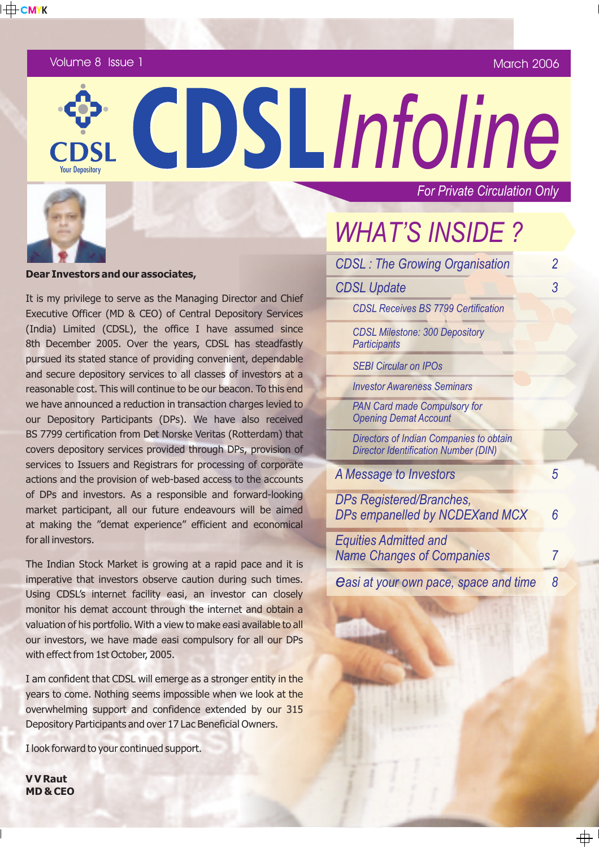Volume 8 Issue 1

March 2006

*For Private Circulation Only*

#### **Dear Investors and our associates,**

It is my privilege to serve as the Managing Director and Chief Executive Officer (MD & CEO) of Central Depository Services (India) Limited (CDSL), the office I have assumed since 8th December 2005. Over the years, CDSL has steadfastly pursued its stated stance of providing convenient, dependable and secure depository services to all classes of investors at a reasonable cost. This will continue to be our beacon. To this end we have announced a reduction in transaction charges levied to our Depository Participants (DPs). We have also received BS 7799 certification from Det Norske Veritas (Rotterdam) that covers depository services provided through DPs, provision of services to Issuers and Registrars for processing of corporate actions and the provision of web-based access to the accounts of DPs and investors. As a responsible and forward-looking market participant, all our future endeavours will be aimed at making the "demat experience" efficient and economical for all investors.

The Indian Stock Market is growing at a rapid pace and it is imperative that investors observe caution during such times. Using CDSL's internet facility easi, an investor can closely monitor his demat account through the internet and obtain a valuation of his portfolio. With a view to make easi available to all our investors, we have made easi compulsory for all our DPs with effect from 1st October, 2005.

I am confident that CDSL will emerge as a stronger entity in the years to come. Nothing seems impossible when we look at the overwhelming support and confidence extended by our 315 Depository Participants and over 17 Lac Beneficial Owners.

I look forward to your continued support.

**V V Raut MD & CEO** *WHAT'S INSIDE ?*

 $\frac{1}{\sqrt{2}}$  CDSLInfoline

| <b>CDSL: The Growing Organisation</b>                                                  | 2 |
|----------------------------------------------------------------------------------------|---|
| <b>CDSL Update</b>                                                                     | 3 |
| <b>CDSL Receives BS 7799 Certification</b>                                             |   |
| <b>CDSL Milestone: 300 Depository</b><br><b>Participants</b>                           |   |
| <b>SEBI Circular on IPOs</b>                                                           |   |
| <b>Investor Awareness Seminars</b>                                                     |   |
| <b>PAN Card made Compulsory for</b><br><b>Opening Demat Account</b>                    |   |
| Directors of Indian Companies to obtain<br><b>Director Identification Number (DIN)</b> |   |
| A Message to Investors                                                                 | 5 |
| DPs Registered/Branches,<br>DPs empanelled by NCDEXand MCX                             | 6 |
| <b>Equities Admitted and</b><br><b>Name Changes of Companies</b>                       | 7 |
| <b>Casi at your own pace, space and time</b>                                           | 8 |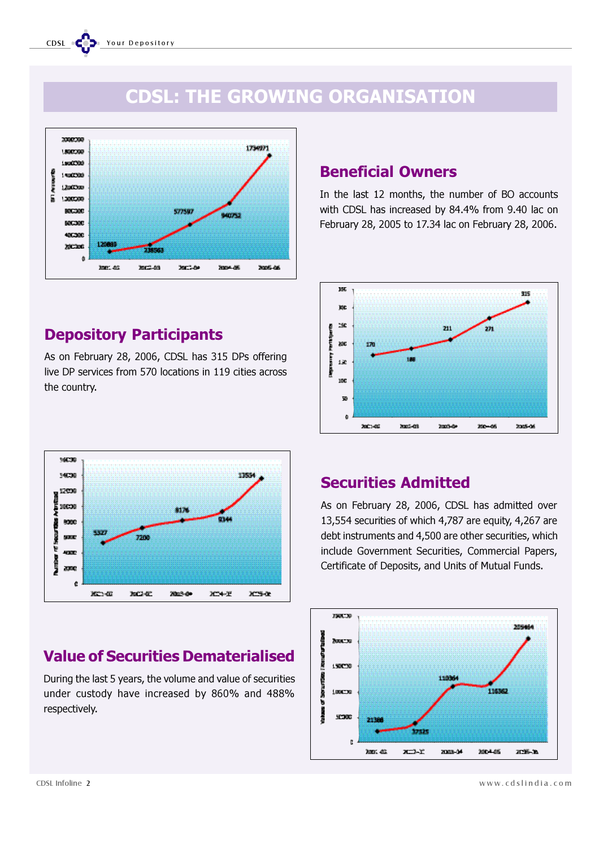# CDSL: THE GROWING ORGANISATION



## Depository Participants

As on February 28, 2006, CDSL has 315 DPs offering live DP services from 570 locations in 119 cities across the country.



# Value of Securities Dematerialised

During the last 5 years, the volume and value of securities under custody have increased by 860% and 488% respectively.

### Beneficial Owners

In the last 12 months, the number of BO accounts with CDSL has increased by 84.4% from 9.40 lac on February 28, 2005 to 17.34 lac on February 28, 2006.



### Securities Admitted

As on February 28, 2006, CDSL has admitted over 13,554 securities of which 4,787 are equity, 4,267 are debt instruments and 4,500 are other securities, which include Government Securities, Commercial Papers, Certificate of Deposits, and Units of Mutual Funds.

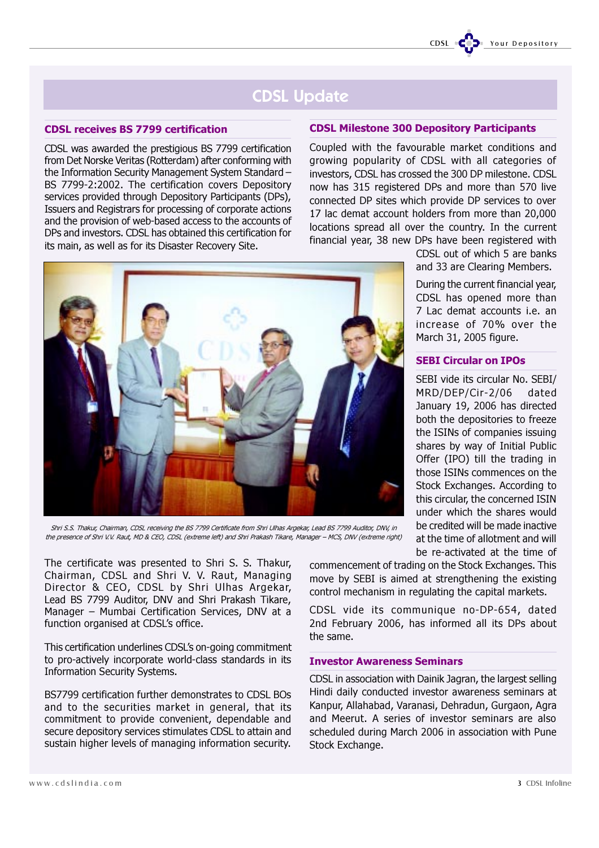

# CDSL Update

#### CDSL receives BS 7799 certification

CDSL was awarded the prestigious BS 7799 certification from Det Norske Veritas (Rotterdam) after conforming with the Information Security Management System Standard – BS 7799-2:2002. The certification covers Depository services provided through Depository Participants (DPs), Issuers and Registrars for processing of corporate actions and the provision of web-based access to the accounts of DPs and investors. CDSL has obtained this certification for its main, as well as for its Disaster Recovery Site.

#### CDSL Milestone 300 Depository Participants

Coupled with the favourable market conditions and growing popularity of CDSL with all categories of investors, CDSL has crossed the 300 DP milestone. CDSL now has 315 registered DPs and more than 570 live connected DP sites which provide DP services to over 17 lac demat account holders from more than 20,000 locations spread all over the country. In the current financial year, 38 new DPs have been registered with



Shri S.S. Thakur, Chairman, CDSL receiving the BS 7799 Certificate from Shri Ulhas Argekar, Lead BS 7799 Auditor, DNV, in the presence of Shri V.V. Raut, MD & CEO, CDSL (extreme left) and Shri Prakash Tikare, Manager – MCS, DNV (extreme right)

The certificate was presented to Shri S. S. Thakur, Chairman, CDSL and Shri V. V. Raut, Managing Director & CEO, CDSL by Shri Ulhas Argekar, Lead BS 7799 Auditor, DNV and Shri Prakash Tikare, Manager – Mumbai Certification Services, DNV at a function organised at CDSL's office.

This certification underlines CDSL's on-going commitment to pro-actively incorporate world-class standards in its Information Security Systems.

BS7799 certification further demonstrates to CDSL BOs and to the securities market in general, that its commitment to provide convenient, dependable and secure depository services stimulates CDSL to attain and sustain higher levels of managing information security.

commencement of trading on the Stock Exchanges. This move by SEBI is aimed at strengthening the existing control mechanism in regulating the capital markets.

CDSL vide its communique no-DP-654, dated 2nd February 2006, has informed all its DPs about the same.

#### Investor Awareness Seminars

CDSL in association with Dainik Jagran, the largest selling Hindi daily conducted investor awareness seminars at Kanpur, Allahabad, Varanasi, Dehradun, Gurgaon, Agra and Meerut. A series of investor seminars are also scheduled during March 2006 in association with Pune Stock Exchange.

CDSL out of which 5 are banks and 33 are Clearing Members.

During the current financial year, CDSL has opened more than 7 Lac demat accounts i.e. an increase of 70% over the March 31, 2005 figure.

#### SEBI Circular on IPOs

SEBI vide its circular No. SEBI/ MRD/DEP/Cir-2/06 dated January 19, 2006 has directed both the depositories to freeze the ISINs of companies issuing shares by way of Initial Public Offer (IPO) till the trading in those ISINs commences on the Stock Exchanges. According to this circular, the concerned ISIN under which the shares would be credited will be made inactive at the time of allotment and will be re-activated at the time of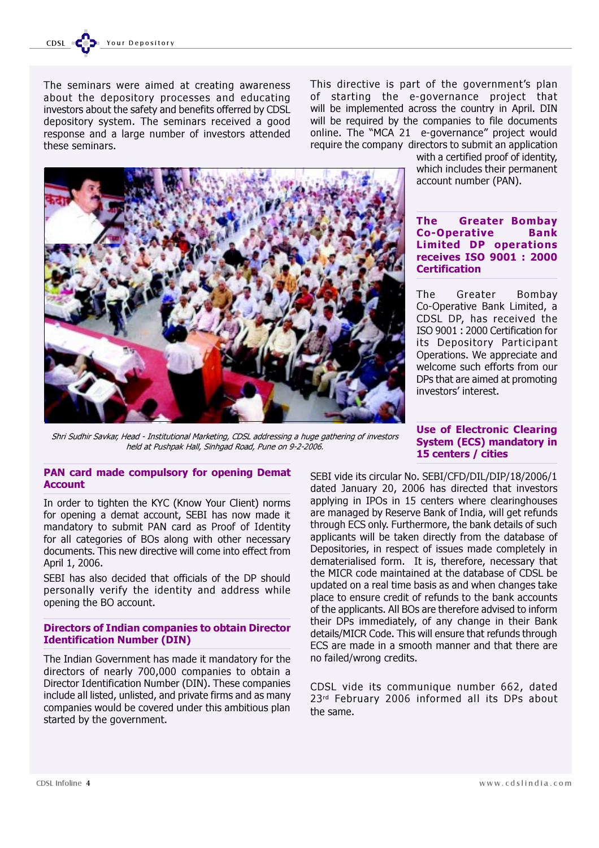The seminars were aimed at creating awareness about the depository processes and educating investors about the safety and benefits offerred by CDSL depository system. The seminars received a good response and a large number of investors attended these seminars.

This directive is part of the government's plan of starting the e-governance project that will be implemented across the country in April. DIN will be required by the companies to file documents online. The "MCA 21 e-governance" project would require the company directors to submit an application



with a certified proof of identity, which includes their permanent account number (PAN).

#### The Greater Bombay Co-Operative Bank Limited DP operations receives ISO 9001 : 2000 **Certification**

The Greater Bombay Co-Operative Bank Limited, a CDSL DP, has received the ISO 9001 : 2000 Certification for its Depository Participant Operations. We appreciate and welcome such efforts from our DPs that are aimed at promoting investors' interest.

Shri Sudhir Savkar, Head - Institutional Marketing, CDSL addressing a huge gathering of investors held at Pushpak Hall, Sinhgad Road, Pune on 9-2-2006.

#### PAN card made compulsory for opening Demat **Account**

In order to tighten the KYC (Know Your Client) norms for opening a demat account, SEBI has now made it mandatory to submit PAN card as Proof of Identity for all categories of BOs along with other necessary documents. This new directive will come into effect from April 1, 2006.

SEBI has also decided that officials of the DP should personally verify the identity and address while opening the BO account.

#### Directors of Indian companies to obtain Director Identification Number (DIN)

The Indian Government has made it mandatory for the directors of nearly 700,000 companies to obtain a Director Identification Number (DIN). These companies include all listed, unlisted, and private firms and as many companies would be covered under this ambitious plan started by the government.

#### Use of Electronic Clearing System (ECS) mandatory in 15 centers / cities

SEBI vide its circular No. SEBI/CFD/DIL/DIP/18/2006/1 dated January 20, 2006 has directed that investors applying in IPOs in 15 centers where clearinghouses are managed by Reserve Bank of India, will get refunds through ECS only. Furthermore, the bank details of such applicants will be taken directly from the database of Depositories, in respect of issues made completely in dematerialised form. It is, therefore, necessary that the MICR code maintained at the database of CDSL be updated on a real time basis as and when changes take place to ensure credit of refunds to the bank accounts of the applicants. All BOs are therefore advised to inform their DPs immediately, of any change in their Bank details/MICR Code. This will ensure that refunds through ECS are made in a smooth manner and that there are no failed/wrong credits.

CDSL vide its communique number 662, dated 23<sup>rd</sup> February 2006 informed all its DPs about the same.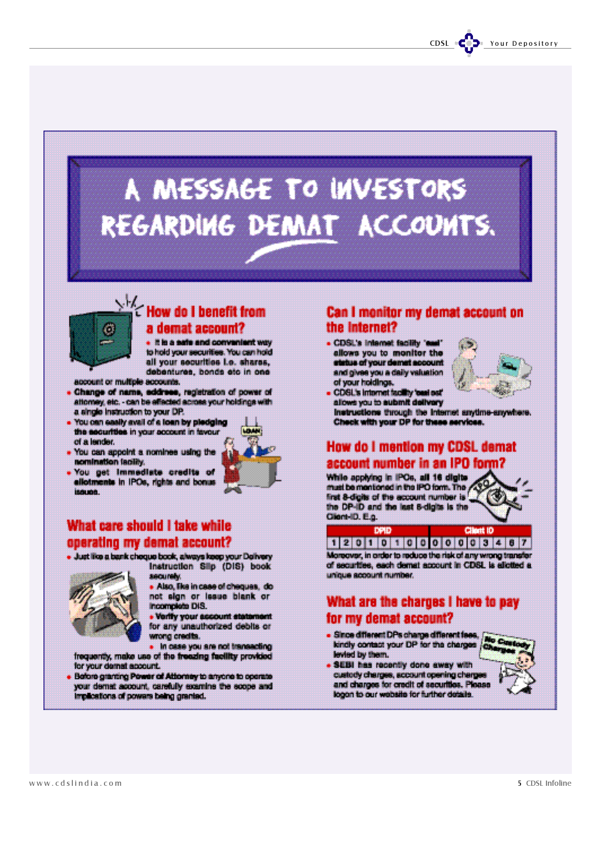# A MESSAGE TO INVESTORS REGARDING DEMAT ACCOUNTS.



# $\sum_{i=1}^{k}$  How do I benefit from a demat account?

It is a safe and convenient way to hold your securities. You can hold all your securities i.e. shares. debentures, bonds etc in one

account or multiple accounts.

- . Change of name, eddress, registration of power of<br>attorney, etc. can be effected across your holdings with a single instruction to your DP.
- . You can easily avail of a loan by pledging the securities in your account in favour of a lender.
- . You can appoint a nominee using the nomination laciliy.
- . You get immediate credits of ellotments in IPOs, rights and bonus issues.



### What care should I take while operating my demai account?

· Just like a bank cheque book, always keep your Delivery



Instruction Slip (DIS) book securely.

Also, like in case of cheques, do not algn or lease blank or Incomplete DIS.

• Verify your assount statement for any unauthorized debits or wrong credits.

. In case you are not transacting frequently, make use of the freezing facility provided for your demat account.

Before granting Power of Attorney to anyone to operate your demat account, carefully examine the scope and Implications of powers being granted.

### Can I monitor my demat account on the Internet?

. CDSL's internet facility 'sual allows you to monitor the status of your demat account and gives you a daily valuation<br>of your holdings.



. CDSL's internet facility 'cool out' allows you to aubmit delivery

instructions through the Internet anytime-anywhere. Check with your DP for these services.

### **How do I mention my CDSL demat** account number in an IPO form?

While applying in IPOs, all 16 digits must be mentioned in the IPO form. The first 8-digits of the account number is the DP-ID and the last 8-digits is the Client-ID, E.o.





Moreover, in order to reduce the risk of any wrong transfer of securities, each demail account in CDSL is allotted a unique account number.

### What are the charges I have to pay for my demat account?

· Since different DPs charge different fees, kindly contact your DP for the charges levied by them.



. SEBI has recently done away with custody charges, account opening charge and charges for credit of securities. Please logon to our website for further details.

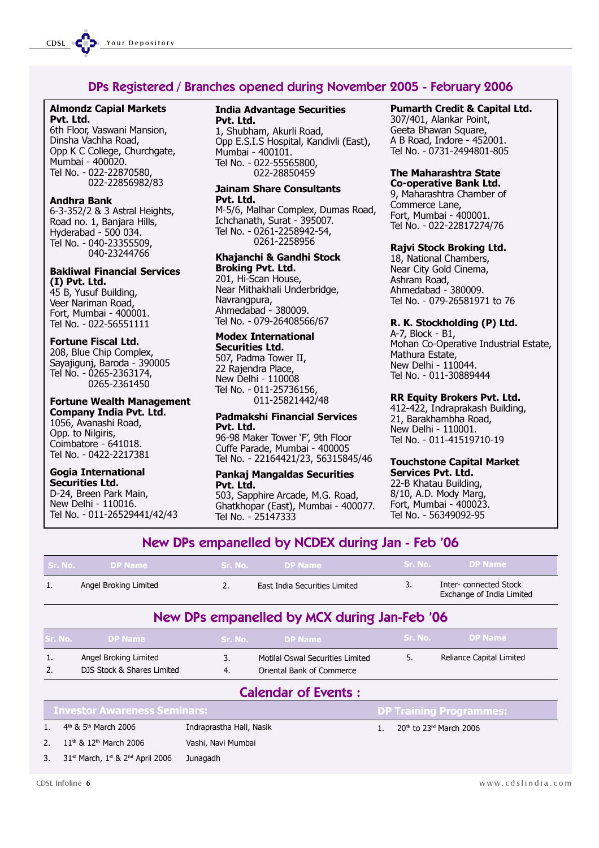### DPs Registered / Branches opened during November 2005 - February 2006

#### Almondz Capial Markets Pvt. Ltd.

6th Floor, Vaswani Mansion, Dinsha Vachha Road, Opp K C College, Churchgate, Mumbai - 400020. Tel No. - 022-22870580, 022-22856982/83

#### Andhra Bank

6-3-352/2 & 3 Astral Heights, Road no. 1, Banjara Hills, Hyderabad - 500 034. Tel No. - 040-23355509, 040-23244766

#### Bakliwal Financial Services (I) Pvt. Ltd.

45 B, Yusuf Building, Veer Nariman Road, Fort, Mumbai - 400001. Tel No. - 022-56551111

#### Fortune Fiscal Ltd.

208, Blue Chip Complex, Sayajigunj, Baroda - 390005 Tel No. - 0265-2363174, 0265-2361450

#### Fortune Wealth Management

Company India Pvt. Ltd. 1056, Avanashi Road, Opp. to Nilgiris, Coimbatore - 641018. Tel No. - 0422-2217381

### Gogia International

Securities Ltd. D-24, Breen Park Main, New Delhi - 110016. Tel No. - 011-26529441/42/43

#### India Advantage Securities Pvt. Ltd.

1, Shubham, Akurli Road, Opp E.S.I.S Hospital, Kandivli (East), Mumbai - 400101. Tel No. - 022-55565800, 022-28850459

#### Jainam Share Consultants Pvt. Ltd.

M-5/6, Malhar Complex, Dumas Road, Ichchanath, Surat - 395007. Tel No. - 0261-2258942-54, 0261-2258956

#### Khajanchi & Gandhi Stock Broking Pvt. Ltd.

201, Hi-Scan House, Near Mithakhali Underbridge, Navrangpura, Ahmedabad - 380009. Tel No. - 079-26408566/67

#### Modex International

Securities Ltd. 507, Padma Tower II, 22 Rajendra Place, New Delhi - 110008 Tel No. - 011-25736156, 011-25821442/48

#### Padmakshi Financial Services Pvt. Ltd.

96-98 Maker Tower 'F', 9th Floor Cuffe Parade, Mumbai - 400005 Tel No. - 22164421/23, 56315845/46

#### Pankaj Mangaldas Securities Pvt. Ltd.

503, Sapphire Arcade, M.G. Road, Ghatkhopar (East), Mumbai - 400077. Tel No. - 25147333

#### Pumarth Credit & Capital Ltd.

307/401, Alankar Point, Geeta Bhawan Square, A B Road, Indore - 452001. Tel No. - 0731-2494801-805

#### The Maharashtra State

Co-operative Bank Ltd. 9, Maharashtra Chamber of Commerce Lane, Fort, Mumbai - 400001. Tel No. - 022-22817274/76

#### Rajvi Stock Broking Ltd.

18, National Chambers, Near City Gold Cinema, Ashram Road, Ahmedabad - 380009. Tel No. - 079-26581971 to 76

#### R. K. Stockholding (P) Ltd.

A-7, Block - B1, Mohan Co-Operative Industrial Estate, Mathura Estate, New Delhi - 110044. Tel No. - 011-30889444

#### RR Equity Brokers Pvt. Ltd.

412-422, Indraprakash Building, 21, Barakhambha Road, New Delhi - 110001. Tel No. - 011-41519710-19

#### Touchstone Capital Market Services Pvt. Ltd.

22-B Khatau Building, 8/10, A.D. Mody Marg, Fort, Mumbai - 400023. Tel No. - 56349092-95

### New DPs empanelled by NCDEX during Jan - Feb '06

| l Sr. No. L | <b>DP Name</b>        | <b>Sr. No.</b> | DP Name                       |                                                    |
|-------------|-----------------------|----------------|-------------------------------|----------------------------------------------------|
|             | Angel Broking Limited |                | East India Securities Limited | Inter-connected Stock<br>Exchange of India Limited |

### New DPs empanelled by MCX during Jan-Feb '06

| <b>Sr. No.</b>             | <b>DP Name</b>                               | <b>Sr. No.</b>           | <b>DP Name</b>                   | Sr. No. | <b>DP Name</b>                                  |
|----------------------------|----------------------------------------------|--------------------------|----------------------------------|---------|-------------------------------------------------|
|                            | Angel Broking Limited                        | 3.                       | Motilal Oswal Securities Limited | 5.      | Reliance Capital Limited                        |
| 2.                         | DJS Stock & Shares Limited                   | 4.                       | Oriental Bank of Commerce        |         |                                                 |
| <b>Calendar of Events:</b> |                                              |                          |                                  |         |                                                 |
|                            | <b>Investor Awareness Seminars:</b>          |                          |                                  |         | <b>DP Training Programmes:</b>                  |
|                            | 4 <sup>th</sup> & 5 <sup>th</sup> March 2006 | Indraprastha Hall, Nasik |                                  |         | 20 <sup>th</sup> to 23 <sup>rd</sup> March 2006 |

- 2. 11<sup>th</sup> & 12<sup>th</sup> March 2006 Vashi, Navi Mumbai
- 3.  $31<sup>st</sup>$  March,  $1<sup>st</sup>$  &  $2<sup>nd</sup>$  April 2006 Junagadh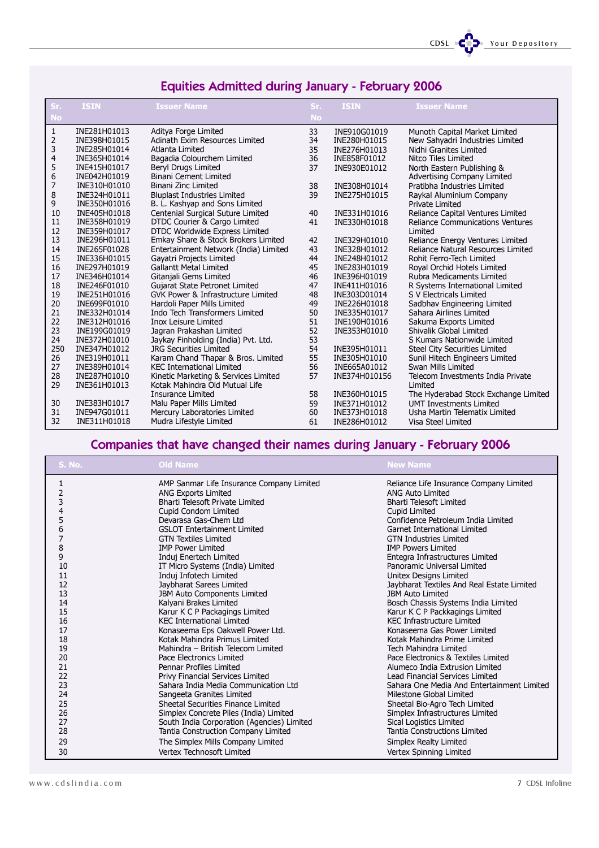CDSL CODE Your Depository

# Equities Admitted during January - February 2006

| Sr.<br><b>No</b> | <b>ISIN</b>  | <b>Issuer Name</b>                    | Sr.<br><b>No</b> | <b>ISIN</b>   | <b>Issuer Name</b>                      |
|------------------|--------------|---------------------------------------|------------------|---------------|-----------------------------------------|
| 1                | INE281H01013 | Aditya Forge Limited                  | 33               | INE910G01019  | Munoth Capital Market Limited           |
| 2                | INE398H01015 | Adinath Exim Resources Limited        | 34               | INE280H01015  | New Sahyadri Industries Limited         |
| 3                | INE285H01014 | Atlanta Limited                       | 35               | INE276H01013  | Nidhi Granites Limited                  |
| 4                | INE365H01014 | Bagadia Colourchem Limited            | 36               | INE858F01012  | Nitco Tiles Limited                     |
| 5                | INE415H01017 | Beryl Drugs Limited                   | 37               | INE930E01012  | North Eastern Publishing &              |
| 6                | INE042H01019 | <b>Binani Cement Limited</b>          |                  |               | Advertising Company Limited             |
| 7                | INE310H01010 | Binani Zinc Limited                   | 38               | INE308H01014  | Pratibha Industries Limited             |
| 8                | INE324H01011 | <b>Bluplast Industries Limited</b>    | 39               | INE275H01015  | Raykal Aluminium Company                |
| 9                | INE350H01016 | B. L. Kashyap and Sons Limited        |                  |               | Private Limited                         |
| 10               | INE405H01018 | Centenial Surgical Suture Limited     | 40               | INE331H01016  | Reliance Capital Ventures Limited       |
| 11               | INE358H01019 | DTDC Courier & Cargo Limited          | 41               | INE330H01018  | <b>Reliance Communications Ventures</b> |
| 12               | INE359H01017 | DTDC Worldwide Express Limited        |                  |               | Limited                                 |
| 13               | INE296H01011 | Emkay Share & Stock Brokers Limited   | 42               | INE329H01010  | Reliance Energy Ventures Limited        |
| 14               | INE265F01028 | Entertainment Network (India) Limited | 43               | INE328H01012  | Reliance Natural Resources Limited      |
| 15               | INE336H01015 | Gayatri Projects Limited              | 44               | INE248H01012  | Rohit Ferro-Tech Limited                |
| 16               | INE297H01019 | <b>Gallantt Metal Limited</b>         | 45               | INE283H01019  | Royal Orchid Hotels Limited             |
| 17               | INE346H01014 | Gitanjali Gems Limited                | 46               | INE396H01019  | Rubra Medicaments Limited               |
| 18               | INE246F01010 | Gujarat State Petronet Limited        | 47               | INE411H01016  | R Systems International Limited         |
| 19               | INE251H01016 | GVK Power & Infrastructure Limited    | 48               | INE303D01014  | S V Electricals Limited                 |
| 20               | INE699F01010 | Hardoli Paper Mills Limited           | 49               | INE226H01018  | Sadbhav Engineering Limited             |
| 21               | INE332H01014 | Indo Tech Transformers Limited        | 50               | INE335H01017  | Sahara Airlines Limited                 |
| 22               | INE312H01016 | <b>Inox Leisure Limited</b>           | 51               | INE190H01016  | Sakuma Exports Limited                  |
| 23               | INE199G01019 | Jagran Prakashan Limited              | 52               | INE353H01010  | Shivalik Global Limited                 |
| 24               | INE372H01010 | Jaykay Finholding (India) Pvt. Ltd.   | 53               |               | S Kumars Nationwide Limited             |
| 250              | INE347H01012 | <b>JRG Securities Limited</b>         | 54               | INE395H01011  | Steel City Securities Limited           |
| 26               | INE319H01011 | Karam Chand Thapar & Bros. Limited    | 55               | INE305H01010  | Sunil Hitech Engineers Limited          |
| 27               | INE389H01014 | <b>KEC International Limited</b>      | 56               | INE665A01012  | Swan Mills Limited                      |
| 28               | INE287H01010 | Kinetic Marketing & Services Limited  | 57               | INE374H010156 | Telecom Investments India Private       |
| 29               | INE361H01013 | Kotak Mahindra Old Mutual Life        |                  |               | Limited                                 |
|                  |              | Insurance Limited                     | 58               | INE360H01015  | The Hyderabad Stock Exchange Limited    |
| 30               | INE383H01017 | Malu Paper Mills Limited              | 59               | INE371H01012  | <b>UMT Investments Limited</b>          |
| 31               | INE947G01011 | Mercury Laboratories Limited          | 60               | INE373H01018  | Usha Martin Telematix Limited           |
| 32               | INE311H01018 | Mudra Lifestyle Limited               | 61               | INE286H01012  | Visa Steel Limited                      |

# Companies that have changed their names during January - February 2006

| <b>S. No.</b>  | <b>Old Name</b>                            | <b>New Name</b>                            |
|----------------|--------------------------------------------|--------------------------------------------|
| 1              | AMP Sanmar Life Insurance Company Limited  | Reliance Life Insurance Company Limited    |
| $\overline{2}$ | <b>ANG Exports Limited</b>                 | ANG Auto Limited                           |
| 3              | Bharti Telesoft Private Limited            | <b>Bharti Telesoft Limited</b>             |
| 4              | Cupid Condom Limited                       | Cupid Limited                              |
| 5              | Devarasa Gas-Chem Ltd                      | Confidence Petroleum India Limited         |
| 6              | <b>GSLOT Entertainment Limited</b>         | Garnet International Limited               |
| 7              | <b>GTN Textiles Limited</b>                | <b>GTN Industries Limited</b>              |
| 8              | <b>IMP Power Limited</b>                   | <b>IMP Powers Limited</b>                  |
| 9              | Induj Enertech Limited                     | Entegra Infrastructures Limited            |
| 10             | IT Micro Systems (India) Limited           | Panoramic Universal Limited                |
| 11             | Induj Infotech Limited                     | Unitex Designs Limited                     |
| 12             | Jaybharat Sarees Limited                   | Jaybharat Textiles And Real Estate Limited |
| 13             | <b>JBM Auto Components Limited</b>         | <b>JBM Auto Limited</b>                    |
| 14             | Kalyani Brakes Limited                     | Bosch Chassis Systems India Limited        |
| 15             | Karur K C P Packagings Limited             | Karur K C P Packkagings Limited            |
| 16             | <b>KEC International Limited</b>           | <b>KEC Infrastructure Limited</b>          |
| 17             | Konaseema Eps Oakwell Power Ltd.           | Konaseema Gas Power Limited                |
| 18             | Kotak Mahindra Primus Limited              | Kotak Mahindra Prime Limited               |
| 19             | Mahindra - British Telecom Limited         | Tech Mahindra Limited                      |
| 20             | Pace Electronics Limited                   | Pace Electronics & Textiles Limited        |
| 21             | Pennar Profiles Limited                    | Alumeco India Extrusion Limited            |
| 22             | Privy Financial Services Limited           | Lead Financial Services Limited            |
| 23             | Sahara India Media Communication Ltd       | Sahara One Media And Entertainment Limited |
| 24             | Sangeeta Granites Limited                  | Milestone Global Limited                   |
| 25             | Sheetal Securities Finance Limited         | Sheetal Bio-Agro Tech Limited              |
| 26             | Simplex Concrete Piles (India) Limited     | Simplex Infrastructures Limited            |
| 27             | South India Corporation (Agencies) Limited | Sical Logistics Limited                    |
| 28             | Tantia Construction Company Limited        | Tantia Constructions Limited               |
| 29             | The Simplex Mills Company Limited          | Simplex Realty Limited                     |
| 30             | Vertex Technosoft Limited                  | Vertex Spinning Limited                    |